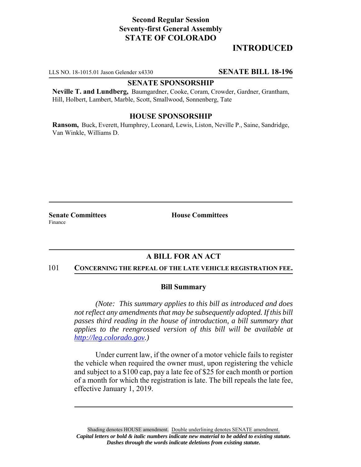# **Second Regular Session Seventy-first General Assembly STATE OF COLORADO**

# **INTRODUCED**

LLS NO. 18-1015.01 Jason Gelender x4330 **SENATE BILL 18-196**

### **SENATE SPONSORSHIP**

**Neville T. and Lundberg,** Baumgardner, Cooke, Coram, Crowder, Gardner, Grantham, Hill, Holbert, Lambert, Marble, Scott, Smallwood, Sonnenberg, Tate

### **HOUSE SPONSORSHIP**

**Ransom,** Buck, Everett, Humphrey, Leonard, Lewis, Liston, Neville P., Saine, Sandridge, Van Winkle, Williams D.

**Senate Committees House Committees** Finance

### **A BILL FOR AN ACT**

#### 101 **CONCERNING THE REPEAL OF THE LATE VEHICLE REGISTRATION FEE.**

#### **Bill Summary**

*(Note: This summary applies to this bill as introduced and does not reflect any amendments that may be subsequently adopted. If this bill passes third reading in the house of introduction, a bill summary that applies to the reengrossed version of this bill will be available at http://leg.colorado.gov.)*

Under current law, if the owner of a motor vehicle fails to register the vehicle when required the owner must, upon registering the vehicle and subject to a \$100 cap, pay a late fee of \$25 for each month or portion of a month for which the registration is late. The bill repeals the late fee, effective January 1, 2019.

Shading denotes HOUSE amendment. Double underlining denotes SENATE amendment. *Capital letters or bold & italic numbers indicate new material to be added to existing statute. Dashes through the words indicate deletions from existing statute.*